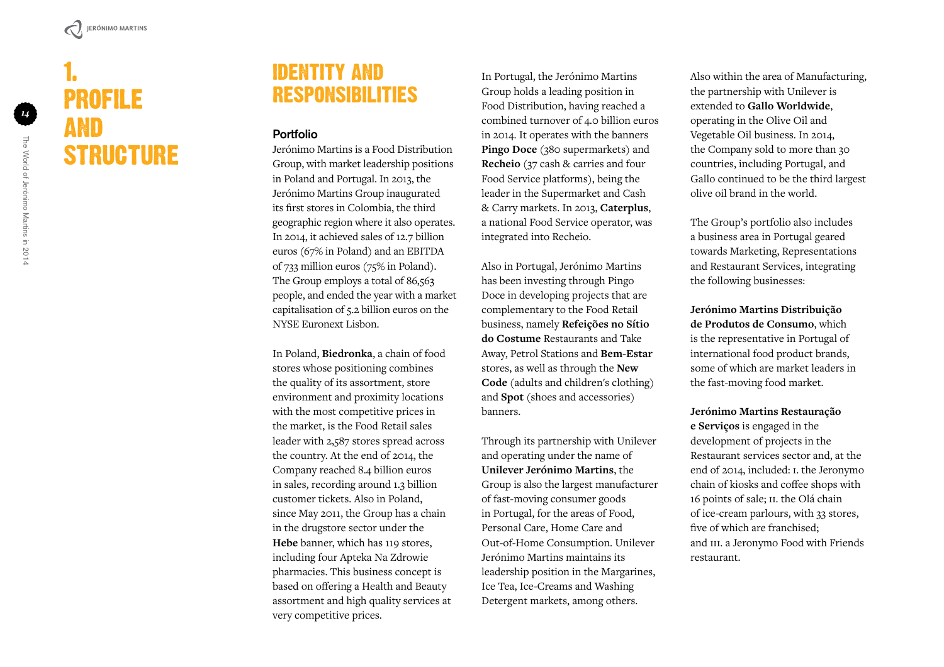# 1. Profile and STRUCTURE

#### IDENTITY AND t Res ponsi bili ties

#### Portfolio

Jerónimo Martins is a Food Distribution Group, with market leadership positions in Poland and Portugal. In 2013, the Jerónimo Martins Group inaugurated its first stores in Colombia, the third geographic region where it also operates. In 2014, it achieved sales of 12.7 billion euros (67% in Poland) and an EBITDA of 733 million euros (75% in Poland). The Group employs a total of 86,563 people, and ended the year with a market capitalisation of 5.2 billion euros on the NYSE Euronext Lisbon.

In Poland, **Biedronka**, a chain of food stores whose positioning combines the quality of its assortment, store environment and proximity locations with the most competitive prices in the market, is the Food Retail sales leader with 2,587 stores spread across the country. At the end of 2014, the Company reached 8.4 billion euros in sales, recording around 1.3 billion customer tickets. Also in Poland, since May 2011, the Group has a chain in the drugstore sector under the **Hebe** banner, which has 119 stores, including four Apteka Na Zdrowie pharmacies. This business concept is based on offering a Health and Beauty assortment and high quality services at very competitive prices.

In Portugal, the Jerónimo Martins Group holds a leading position in Food Distribution, having reached a combined turnover of 4.0 billion euros in 2014. It operates with the banners **Pingo Doce** (380 supermarkets) and **Recheio** (37 cash & carries and four Food Service platforms), being the leader in the Supermarket and Cash & Carry markets. In 2013, **Caterplus**, a national Food Service operator, was integrated into Recheio.

Also in Portugal, Jerónimo Martins has been investing through Pingo Doce in developing projects that are complementary to the Food Retail business, namely **Refeições no Sítio do Costume** Restaurants and Take Away, Petrol Stations and **Bem-Estar** stores, as well as through the **New Code** (adults and children's clothing) and **Spot** (shoes and accessories) banners.

Through its partnership with Unilever and operating under the name of **Unilever Jerónimo Martins**, the Group is also the largest manufacturer of fast-moving consumer goods in Portugal, for the areas of Food, Personal Care, Home Care and Out-of-Home Consumption. Unilever Jerónimo Martins maintains its leadership position in the Margarines, Ice Tea, Ice-Creams and Washing Detergent markets, among others.

Also within the area of Manufacturing, the partnership with Unilever is extended to **Gallo Worldwide**, operating in the Olive Oil and Vegetable Oil business. In 2014, the Company sold to more than 30 countries, including Portugal, and Gallo continued to be the third largest olive oil brand in the world.

The Group's portfolio also includes a business area in Portugal geared towards Marketing, Representations and Restaurant Services, integrating the following businesses:

**Jerónimo Martins Distribuição de Produtos de Consumo**, which is the representative in Portugal of international food product brands, some of which are market leaders in the fast-moving food market.

**Jerónimo Martins Restauração e Serviços** is engaged in the development of projects in the Restaurant services sector and, at the end of 2014, included: i. the Jeronymo chain of kiosks and coffee shops with 16 points of sale; ii. the Olá chain of ice-cream parlours, with 33 stores, five of which are franchised; and III. a Jeronymo Food with Friends restaurant.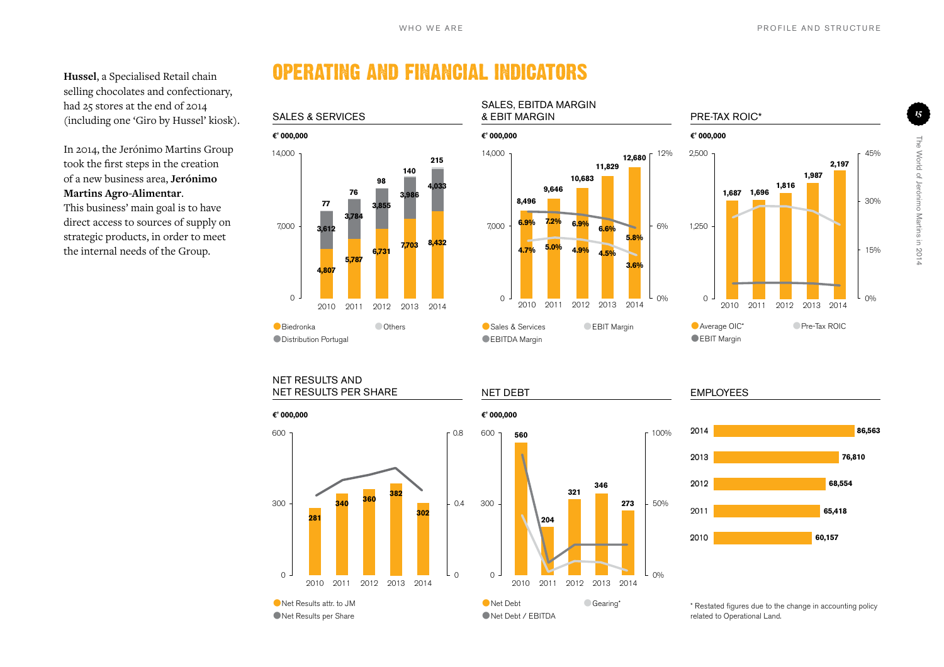**Hussel**, a Specialised Retail chain selling chocolates and confectionary, had 25 stores at the end of 2014 (including one 'Giro by Hussel' kiosk).

In 2014, the Jerónimo Martins Group took the first steps in the creation of a new business area, **Jerónimo Martins Agro-Alimentar**.

This business' main goal is to have direct access to sources of supply on strategic products, in order to meet the internal needs of the Group.

## Operating and Financial Indicators



14,000  $7,000 + 6\%$  <sup>12</sup> 6.3% 6.6%  $+ 6\%$ 12%  $0 - 2010 - 2011 - 2010 - 2010 - 2011 + 0\%$ Sales & Services Pre-Tax ROIC\* & EBIT Margin **€' 000,000 €' 000,000 €' 000,000** 8,432<br>
2014<br>
2014<br>
2016 2010 2011 2012 2013 2014<br>
2014<br>
2016 2012 2013 2014<br>
2014<br>
2016 Architecture CEBIT Margin<br>
2014<br>
2016 2014<br>
2016 2014<br>
2016 2014<br>
2016 2014<br>
2016 2014<br>
2016 2014<br>
2016 2014<br>
2016 2014<br>
2016 2014<br>
20 **3.6% 4.7% 5.0% 4.9% 4.5% 5.8% 6.9% 6.9% 6.6% 7.2% 12,680 8,496 9,646 10,683 11,829**

Sales, EBITDA Margin

EBITDA Margin **EBIT Margin** 





**EBIT Margin** 

#### Net Results and NET RESULTS PER SHARE NET DEBT



Net Results per Share





\* Restated figures due to the change in accounting policy related to Operational Land.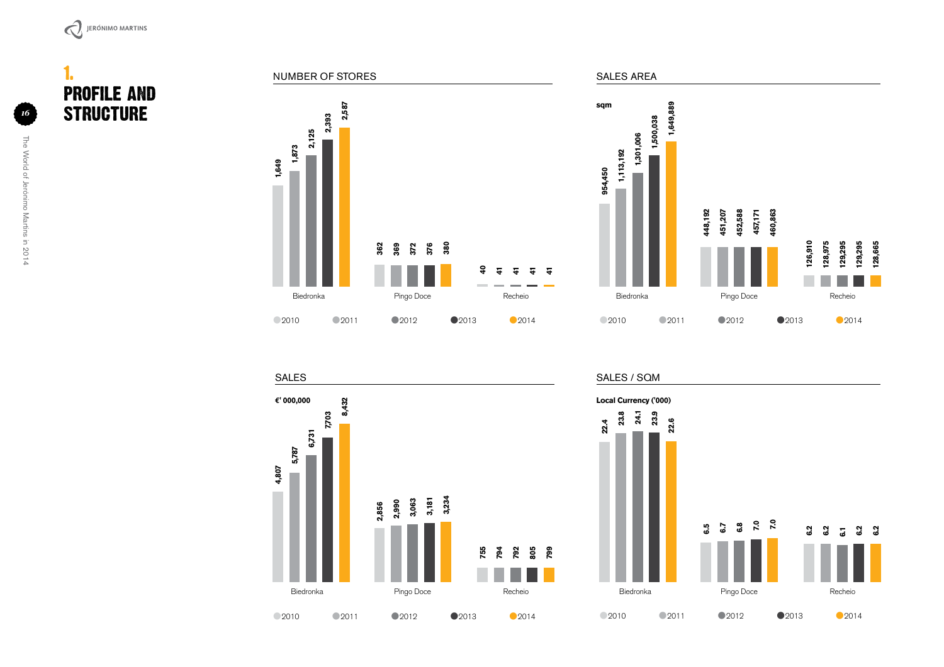

1. Profile and STRUCTURE







SALES / SQM

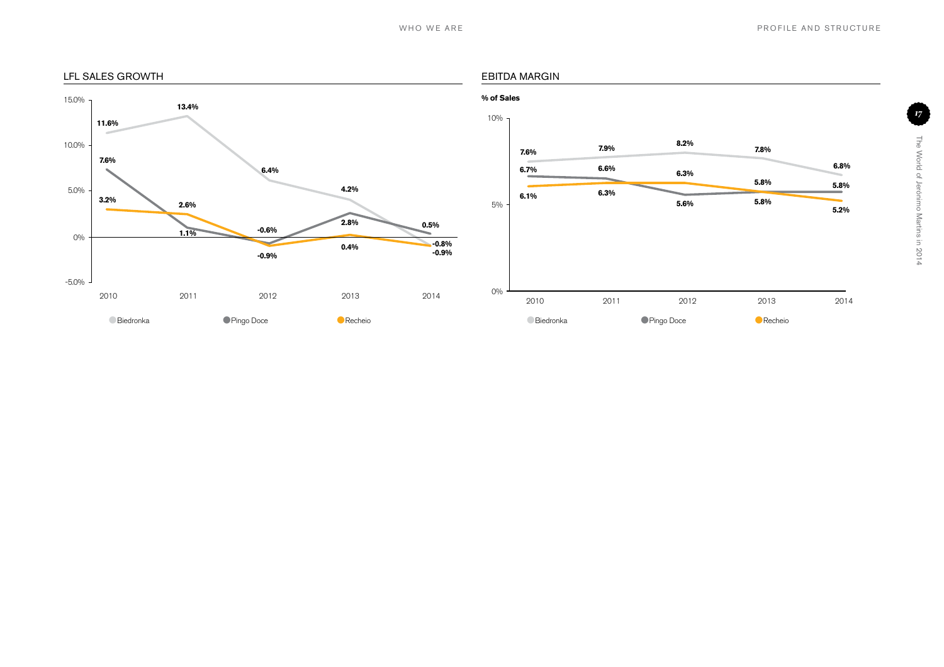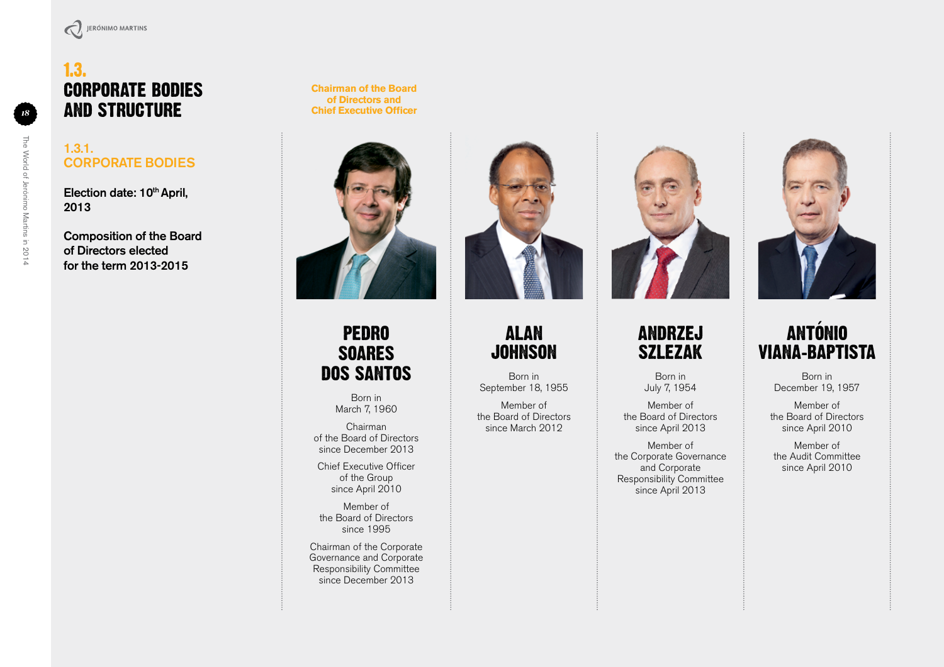### 1.3. Corporate Bodies and Structure

The World of Jerónimo Martins in 2014

The World of Jerónimo Martins in 2014

#### 1.3.1. Corporate Bodies

Election date: 10<sup>th</sup> April, 2013

Composition of the Board of Directors elected for the term 2013-2015

#### **Chairman of the Board of Directors and Chief Executive Officer**



## Pedro **SOARES** dos Santos

Born in March 7, 1960

Chairman of the Board of Directors since December 2013

Chief Executive Officer of the Group since April 2010

Member of the Board of Directors since 1995

Chairman of the Corporate Governance and Corporate Responsibility Committee since December 2013



### Alan **JOHNSON**

Born in September 18, 1955

Member of the Board of Directors since March 2012



## **ANDRZEJ** Szlezak

Born in July 7, 1954

Member of the Board of Directors since April 2013

Member of the Corporate Governance and Corporate Responsibility Committee since April 2013



## António Viana-Baptista

Born in December 19, 1957

Member of the Board of Directors since April 2010

Member of the Audit Committee since April 2010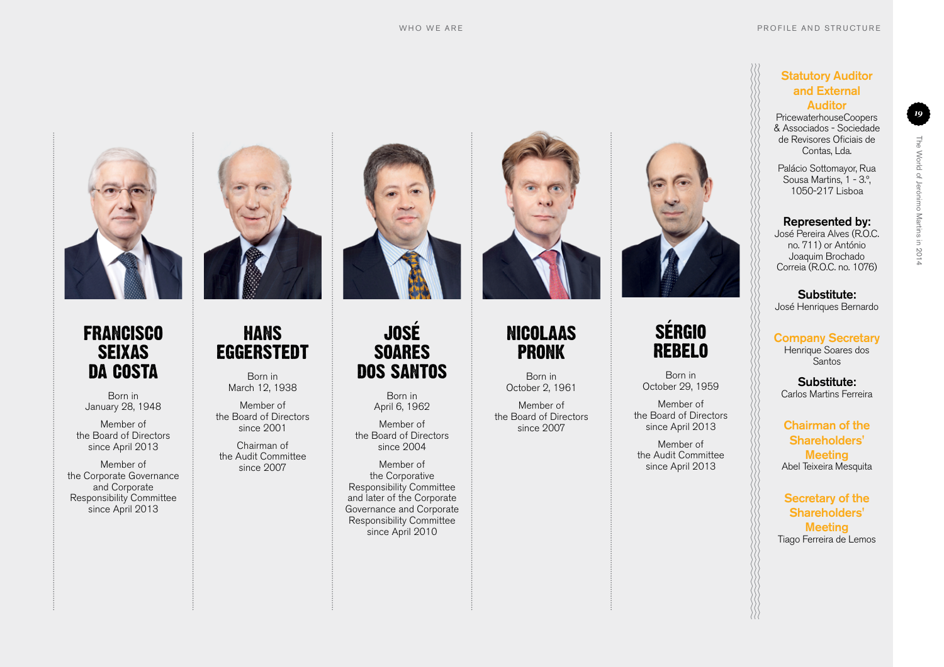

#### **FRANCISCO SEIXAS** da Costa

Born in January 28, 1948

Member of the Board of Directors since April 2013

Member of the Corporate Governance and Corporate Responsibility Committee since April 2013



## **HANS EGGERSTEDT**

Born in March 12, 1938

Member of the Board of Directors since 2001

Chairman of the Audit Committee since 2007



## José **SOARES** dos Santos

Born in April 6, 1962

Member of the Board of Directors since 2004

Member of the Corporative Responsibility Committee and later of the Corporate Governance and Corporate Responsibility Committee since April 2010



### Nicolaas **PRONK**

Born in October 2, 1961

Member of the Board of Directors since 2007



## **SÉRGIO** Rebelo

Born in October 29, 1959

Member of the Board of Directors since April 2013

Member of the Audit Committee since April 2013

#### **Statutory Auditor** and External Auditor

PricewaterhouseCoopers & Associados - Sociedade de Revisores Oficiais de Contas, Lda.

*19*

The World of Jerónimo Martins in 2014

The World of Jerónimo Martins in 2014

Palácio Sottomayor, Rua Sousa Martins, 1 - 3.º, 1050-217 Lisboa

#### Represented by:

José Pereira Alves (R.O.C. no. 711) or António Joaquim Brochado Correia (R.O.C. no. 1076)

Substitute: José Henriques Bernardo

Company Secretary Henrique Soares dos Santos

Substitute: Carlos Martins Ferreira

Chairman of the Shareholders' **Meeting** Abel Teixeira Mesquita

Secretary of the Shareholders' **Meeting** Tiago Ferreira de Lemos